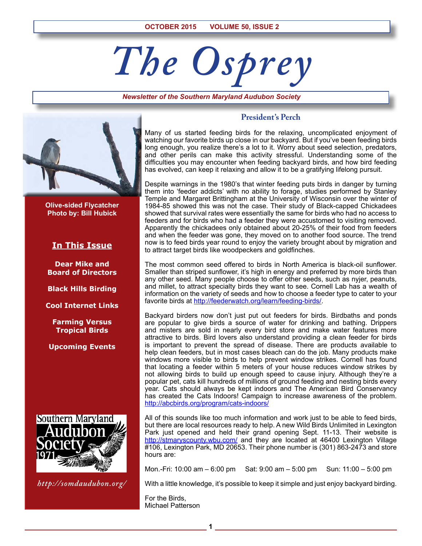# *The Osprey*

*Newsletter of the Southern Maryland Audubon Society*



**Olive-sided Flycatcher Photo by: Bill Hubick**

# **In This Issue**

**Dear Mike and Board of Directors**

**Black Hills Birding**

**Cool Internet Links**

**Farming Versus Tropical Birds**

**Upcoming Events**



*http://somdaudubon.org/*

#### **President's Perch**

Many of us started feeding birds for the relaxing, uncomplicated enjoyment of watching our favorite birds up close in our backyard. But if you've been feeding birds long enough, you realize there's a lot to it. Worry about seed selection, predators, and other perils can make this activity stressful. Understanding some of the difficulties you may encounter when feeding backyard birds, and how bird feeding has evolved, can keep it relaxing and allow it to be a gratifying lifelong pursuit.

Despite warnings in the 1980's that winter feeding puts birds in danger by turning them into 'feeder addicts' with no ability to forage, studies performed by Stanley Temple and Margaret Brittingham at the University of Wisconsin over the winter of 1984-85 showed this was not the case. Their study of Black-capped Chickadees showed that survival rates were essentially the same for birds who had no access to feeders and for birds who had a feeder they were accustomed to visiting removed. Apparently the chickadees only obtained about 20-25% of their food from feeders and when the feeder was gone, they moved on to another food source. The trend now is to feed birds year round to enjoy the variety brought about by migration and to attract target birds like woodpeckers and goldfinches.

The most common seed offered to birds in North America is black-oil sunflower. Smaller than striped sunflower, it's high in energy and preferred by more birds than any other seed. Many people choose to offer other seeds, such as nyjer, peanuts, and millet, to attract specialty birds they want to see. Cornell Lab has a wealth of information on the variety of seeds and how to choose a feeder type to cater to your favorite birds at http://feederwatch.org/learn/feeding-birds/.

Backyard birders now don't just put out feeders for birds. Birdbaths and ponds are popular to give birds a source of water for drinking and bathing. Drippers and misters are sold in nearly every bird store and make water features more attractive to birds. Bird lovers also understand providing a clean feeder for birds is important to prevent the spread of disease. There are products available to help clean feeders, but in most cases bleach can do the job. Many products make windows more visible to birds to help prevent window strikes. Cornell has found that locating a feeder within 5 meters of your house reduces window strikes by not allowing birds to build up enough speed to cause injury. Although they're a popular pet, cats kill hundreds of millions of ground feeding and nesting birds every year. Cats should always be kept indoors and The American Bird Conservancy has created the Cats Indoors! Campaign to increase awareness of the problem. http://abcbirds.org/program/cats-indoors/

All of this sounds like too much information and work just to be able to feed birds, but there are local resources ready to help. A new Wild Birds Unlimited in Lexington Park just opened and held their grand opening Sept. 11-13. Their website is http://stmaryscounty.wbu.com/ and they are located at 46400 Lexington Village #106, Lexington Park, MD 20653. Their phone number is (301) 863-2473 and store hours are:

Mon.-Fri: 10:00 am – 6:00 pm Sat: 9:00 am – 5:00 pm Sun: 11:00 – 5:00 pm

With a little knowledge, it's possible to keep it simple and just enjoy backyard birding.

For the Birds, Michael Patterson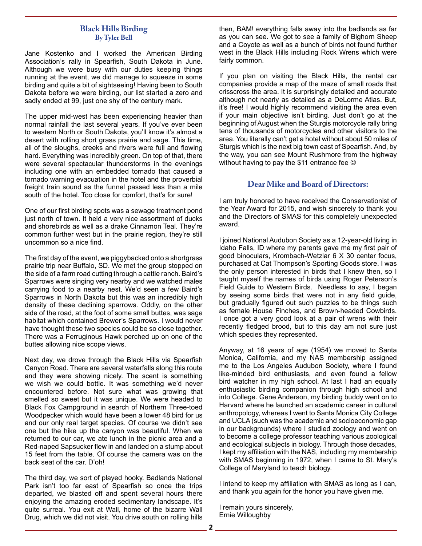#### **Black Hills Birding By Tyler Bell**

Jane Kostenko and I worked the American Birding Association's rally in Spearfish, South Dakota in June. Although we were busy with our duties keeping things running at the event, we did manage to squeeze in some birding and quite a bit of sightseeing! Having been to South Dakota before we were birding, our list started a zero and sadly ended at 99, just one shy of the century mark.

The upper mid-west has been experiencing heavier than normal rainfall the last several years. If you've ever been to western North or South Dakota, you'll know it's almost a desert with rolling short grass prairie and sage. This time, all of the sloughs, creeks and rivers were full and flowing hard. Everything was incredibly green. On top of that, there were several spectacular thunderstorms in the evenings including one with an embedded tornado that caused a tornado warning evacuation in the hotel and the proverbial freight train sound as the funnel passed less than a mile south of the hotel. Too close for comfort, that's for sure!

One of our first birding spots was a sewage treatment pond just north of town. It held a very nice assortment of ducks and shorebirds as well as a drake Cinnamon Teal. They're common further west but in the prairie region, they're still uncommon so a nice find.

The first day of the event, we piggybacked onto a shortgrass prairie trip near Buffalo, SD. We met the group stopped on the side of a farm road cutting through a cattle ranch. Baird's Sparrows were singing very nearby and we watched males carrying food to a nearby nest. We'd seen a few Baird's Sparrows in North Dakota but this was an incredibly high density of these declining sparrows. Oddly, on the other side of the road, at the foot of some small buttes, was sage habitat which contained Brewer's Sparrows. I would never have thought these two species could be so close together. There was a Ferruginous Hawk perched up on one of the buttes allowing nice scope views.

Next day, we drove through the Black Hills via Spearfish Canyon Road. There are several waterfalls along this route and they were showing nicely. The scent is something we wish we could bottle. It was something we'd never encountered before. Not sure what was growing that smelled so sweet but it was unique. We were headed to Black Fox Campground in search of Northern Three-toed Woodpecker which would have been a lower 48 bird for us and our only real target species. Of course we didn't see one but the hike up the canyon was beautiful. When we returned to our car, we ate lunch in the picnic area and a Red-naped Sapsucker flew in and landed on a stump about 15 feet from the table. Of course the camera was on the back seat of the car. D'oh!

The third day, we sort of played hooky. Badlands National Park isn't too far east of Spearfish so once the trips departed, we blasted off and spent several hours there enjoying the amazing eroded sedimentary landscape. It's quite surreal. You exit at Wall, home of the bizarre Wall Drug, which we did not visit. You drive south on rolling hills

then, BAM! everything falls away into the badlands as far as you can see. We got to see a family of Bighorn Sheep and a Coyote as well as a bunch of birds not found further west in the Black Hills including Rock Wrens which were fairly common.

If you plan on visiting the Black Hills, the rental car companies provide a map of the maze of small roads that crisscross the area. It is surprisingly detailed and accurate although not nearly as detailed as a DeLorme Atlas. But, it's free! I would highly recommend visiting the area even if your main objective isn't birding. Just don't go at the beginning of August when the Sturgis motorcycle rally bring tens of thousands of motorcycles and other visitors to the area. You literally can't get a hotel without about 50 miles of Sturgis which is the next big town east of Spearfish. And, by the way, you can see Mount Rushmore from the highway without having to pay the \$11 entrance fee  $\odot$ 

#### **Dear Mike and Board of Directors:**

I am truly honored to have received the Conservationist of the Year Award for 2015, and wish sincerely to thank you and the Directors of SMAS for this completely unexpected award.

I joined National Audubon Society as a 12-year-old living in Idaho Falls, ID where my parents gave me my first pair of good binoculars, Krombach-Wetzlar 6 X 30 center focus, purchased at Cat Thompson's Sporting Goods store. I was the only person interested in birds that I knew then, so I taught myself the names of birds using Roger Peterson's Field Guide to Western Birds. Needless to say, I began by seeing some birds that were not in any field guide, but gradually figured out such puzzles to be things such as female House Finches, and Brown-headed Cowbirds. I once got a very good look at a pair of wrens with their recently fledged brood, but to this day am not sure just which species they represented.

Anyway, at 16 years of age (1954) we moved to Santa Monica, California, and my NAS membership assigned me to the Los Angeles Audubon Society, where I found like-minded bird enthusiasts, and even found a fellow bird watcher in my high school. At last I had an equally enthusiastic birding companion through high school and into College. Gene Anderson, my birding buddy went on to Harvard where he launched an academic career in cultural anthropology, whereas I went to Santa Monica City College and UCLA (such was the academic and socioeconomic gap in our backgrounds) where I studied zoology and went on to become a college professor teaching various zoological and ecological subjects in biology. Through those decades, I kept my affiliation with the NAS, including my membership with SMAS beginning in 1972, when I came to St. Mary's College of Maryland to teach biology.

I intend to keep my affiliation with SMAS as long as I can, and thank you again for the honor you have given me.

I remain yours sincerely, Ernie Willoughby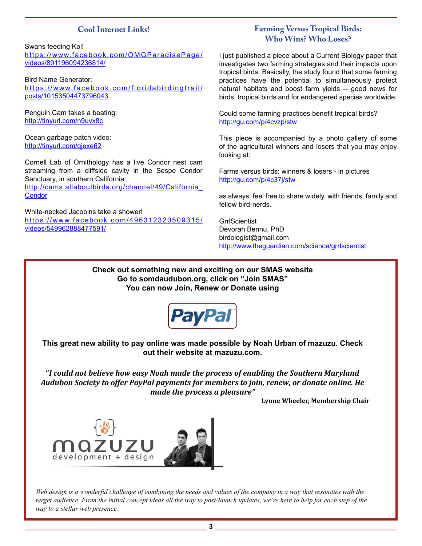# **Cool Internet Links!**

Swans feeding Koi! https://www.facebook.com/OMGParadisePage/ videos/891196094236814/

Bird Name Generator: https://www.facebook.com/floridabirdingtrail/ posts/10153504473796043

Penguin Cam takes a beating: http://tinyurl.com/n9uvx8c

Ocean garbage patch video: http://tinyurl.com/qjexe62

Cornell Lab of Ornithology has a live Condor nest cam streaming from a cliffside cavity in the Sespe Condor Sanctuary, in southern California: http://cams.allaboutbirds.org/channel/49/California\_ **Condor** 

White-necked Jacobins take a shower! https://www.facebook.com/496312320509315/ videos/549962888477591/

## **Farming Versus Tropical Birds: Who Wins? Who Loses?**

I just published a piece about a Current Biology paper that investigates two farming strategies and their impacts upon tropical birds. Basically, the study found that some farming practices have the potential to simultaneously protect natural habitats and boost farm yields -- good news for birds, tropical birds and for endangered species worldwide:

Could some farming practices benefit tropical birds? http://gu.com/p/4cvzp/stw

This piece is accompanied by a photo gallery of some of the agricultural winners and losers that you may enjoy looking at:

Farms versus birds: winners & losers - in pictures http://gu.com/p/4c37j/stw

as always, feel free to share widely, with friends, family and fellow bird-nerds.

**GrrlScientist** Devorah Bennu, PhD birdologist@gmail.com http://www.theguardian.com/science/grrlscientist

**Check out something new and exciting on our SMAS website Go to somdaudubon.org, click on "Join SMAS" You can now Join, Renew or Donate using**



**This great new ability to pay online was made possible by Noah Urban of mazuzu. Check out their website at mazuzu.com.**

**"***I could not believe how easy Noah made the process of enabling the Southern Maryland Audubon Society to offer PayPal payments for members to join, renew***,** *or donate online. He made the process a pleasure"* 

**Lynne Wheeler, Membership Chair**



*Web design is a wonderful challenge of combining the needs and values of the company in a way that resonates with the*  target audience. From the initial concept ideas all the way to post-launch updates, we're here to help for each step of the *way to a stellar web presence.*

**3**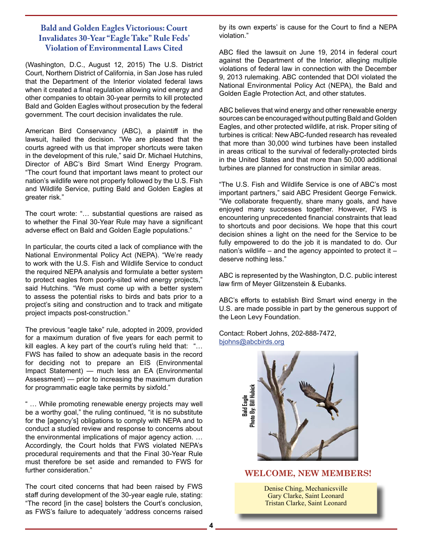### **Bald and Golden Eagles Victorious: Court Invalidates 30-Year "Eagle Take" Rule Feds' Violation of Environmental Laws Cited**

(Washington, D.C., August 12, 2015) The U.S. District Court, Northern District of California, in San Jose has ruled that the Department of the Interior violated federal laws when it created a final regulation allowing wind energy and other companies to obtain 30-year permits to kill protected Bald and Golden Eagles without prosecution by the federal government. The court decision invalidates the rule.

American Bird Conservancy (ABC), a plaintiff in the lawsuit, hailed the decision. "We are pleased that the courts agreed with us that improper shortcuts were taken in the development of this rule," said Dr. Michael Hutchins, Director of ABC's Bird Smart Wind Energy Program. "The court found that important laws meant to protect our nation's wildlife were not properly followed by the U.S. Fish and Wildlife Service, putting Bald and Golden Eagles at greater risk."

The court wrote: "… substantial questions are raised as to whether the Final 30-Year Rule may have a significant adverse effect on Bald and Golden Eagle populations."

In particular, the courts cited a lack of compliance with the National Environmental Policy Act (NEPA). "We're ready to work with the U.S. Fish and Wildlife Service to conduct the required NEPA analysis and formulate a better system to protect eagles from poorly-sited wind energy projects," said Hutchins. "We must come up with a better system to assess the potential risks to birds and bats prior to a project's siting and construction and to track and mitigate project impacts post-construction."

The previous "eagle take" rule, adopted in 2009, provided for a maximum duration of five years for each permit to kill eagles. A key part of the court's ruling held that: "… FWS has failed to show an adequate basis in the record for deciding not to prepare an EIS (Environmental Impact Statement) — much less an EA (Environmental Assessment) — prior to increasing the maximum duration for programmatic eagle take permits by sixfold."

" … While promoting renewable energy projects may well be a worthy goal," the ruling continued, "it is no substitute for the [agency's] obligations to comply with NEPA and to conduct a studied review and response to concerns about the environmental implications of major agency action. … Accordingly, the Court holds that FWS violated NEPA's procedural requirements and that the Final 30-Year Rule must therefore be set aside and remanded to FWS for further consideration."

The court cited concerns that had been raised by FWS staff during development of the 30-year eagle rule, stating: "The record [in the case] bolsters the Court's conclusion, as FWS's failure to adequately 'address concerns raised by its own experts' is cause for the Court to find a NEPA violation."

ABC filed the lawsuit on June 19, 2014 in federal court against the Department of the Interior, alleging multiple violations of federal law in connection with the December 9, 2013 rulemaking. ABC contended that DOI violated the National Environmental Policy Act (NEPA), the Bald and Golden Eagle Protection Act, and other statutes.

ABC believes that wind energy and other renewable energy sources can be encouraged without putting Bald and Golden Eagles, and other protected wildlife, at risk. Proper siting of turbines is critical: New ABC-funded research has revealed that more than 30,000 wind turbines have been installed in areas critical to the survival of federally-protected birds in the United States and that more than 50,000 additional turbines are planned for construction in similar areas.

"The U.S. Fish and Wildlife Service is one of ABC's most important partners," said ABC President George Fenwick. "We collaborate frequently, share many goals, and have enjoyed many successes together. However, FWS is encountering unprecedented financial constraints that lead to shortcuts and poor decisions. We hope that this court decision shines a light on the need for the Service to be fully empowered to do the job it is mandated to do. Our nation's wildlife – and the agency appointed to protect it – deserve nothing less."

ABC is represented by the Washington, D.C. public interest law firm of Meyer Glitzenstein & Eubanks.

ABC's efforts to establish Bird Smart wind energy in the U.S. are made possible in part by the generous support of the Leon Levy Foundation.

Contact: Robert Johns, 202-888-7472, bjohns@abcbirds.org



Denise Ching, Mechanicsville Gary Clarke, Saint Leonard Tristan Clarke, Saint Leonard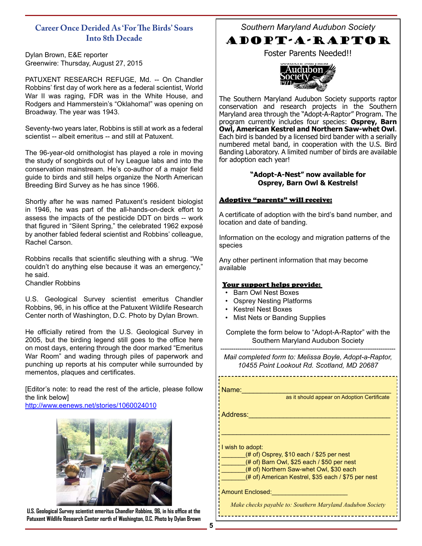# **Career Once Derided As 'For The Birds' Soars Into 8th Decade**

Dylan Brown, E&E reporter Greenwire: Thursday, August 27, 2015

PATUXENT RESEARCH REFUGE, Md. -- On Chandler Robbins' first day of work here as a federal scientist, World War II was raging, FDR was in the White House, and Rodgers and Hammerstein's "Oklahoma!" was opening on Broadway. The year was 1943.

Seventy-two years later, Robbins is still at work as a federal scientist -- albeit emeritus -- and still at Patuxent.

The 96-year-old ornithologist has played a role in moving the study of songbirds out of Ivy League labs and into the conservation mainstream. He's co-author of a major field guide to birds and still helps organize the North American Breeding Bird Survey as he has since 1966.

Shortly after he was named Patuxent's resident biologist in 1946, he was part of the all-hands-on-deck effort to assess the impacts of the pesticide DDT on birds -- work that figured in "Silent Spring," the celebrated 1962 exposé by another fabled federal scientist and Robbins' colleague, Rachel Carson.

Robbins recalls that scientific sleuthing with a shrug. "We couldn't do anything else because it was an emergency," he said.

Chandler Robbins

U.S. Geological Survey scientist emeritus Chandler Robbins, 96, in his office at the Patuxent Wildlife Research Center north of Washington, D.C. Photo by Dylan Brown.

He officially retired from the U.S. Geological Survey in 2005, but the birding legend still goes to the office here on most days, entering through the door marked "Emeritus War Room" and wading through piles of paperwork and punching up reports at his computer while surrounded by mementos, plaques and certificates.

[Editor's note: to read the rest of the article, please follow the link below]

http://www.eenews.net/stories/1060024010



**U.S. Geological Survey scientist emeritus Chandler Robbins, 96, in his office at the Patuxent Wildlife Research Center north of Washington, D.C. Photo by Dylan Brown** *Southern Maryland Audubon Society*

# ADOPT-A-RAPTOR

Foster Parents Needed!!



The Southern Maryland Audubon Society supports raptor conservation and research projects in the Southern Maryland area through the "Adopt-A-Raptor" Program. The program currently includes four species: **Osprey, Barn Owl, American Kestrel and Northern Saw-whet Owl**. Each bird is banded by a licensed bird bander with a serially numbered metal band, in cooperation with the U.S. Bird Banding Laboratory. A limited number of birds are available for adoption each year!

#### **"Adopt-A-Nest" now available for Osprey, Barn Owl & Kestrels!**

#### Adoptive "parents" will receive:

A certificate of adoption with the bird's band number, and location and date of banding.

Information on the ecology and migration patterns of the species

Any other pertinent information that may become available

#### Your support helps provide:

- Barn Owl Nest Boxes
- Osprey Nesting Platforms
- Kestrel Nest Boxes
- Mist Nets or Banding Supplies

Complete the form below to "Adopt-A-Raptor" with the Southern Maryland Audubon Society

--------------------------------------------------------------------------------------------- *Mail completed form to: Melissa Boyle, Adopt-a-Raptor, 10455 Point Lookout Rd. Scotland, MD 20687*

Name:\_\_\_\_\_\_\_\_\_\_\_\_\_\_\_\_\_\_\_\_\_\_\_\_\_\_\_\_\_\_\_\_\_\_\_\_\_\_\_

as it should appear on Adoption Certificate

Address:\_\_\_\_\_\_\_\_\_\_\_\_\_\_\_\_\_\_\_\_\_\_\_\_\_\_\_\_\_\_\_\_\_\_\_\_\_

I wish to adopt:

 $($ # of) Osprey, \$10 each / \$25 per nest

(# of) Barn Owl, \$25 each / \$50 per nest

(# of) Northern Saw-whet Owl, \$30 each

(# of) American Kestrel, \$35 each / \$75 per nest

\_\_\_\_\_\_\_\_\_\_\_\_\_\_\_\_\_\_\_\_\_\_\_\_\_\_\_\_\_\_\_\_\_\_\_\_\_\_\_\_\_\_\_\_

Amount Enclosed:

*Make checks payable to: Southern Maryland Audubon Society*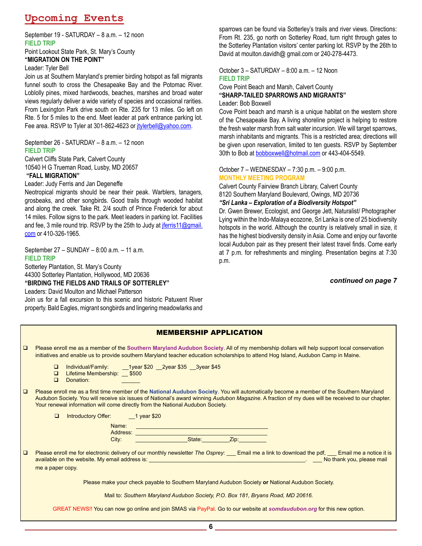# **Upcoming Events**

#### September 19 - SATURDAY – 8 a.m. – 12 noon **FIELD TRIP**

Point Lookout State Park, St. Mary's County **"MIGRATION ON THE POINT"**

#### Leader: Tyler Bell

Join us at Southern Maryland's premier birding hotspot as fall migrants funnel south to cross the Chesapeake Bay and the Potomac River. Loblolly pines, mixed hardwoods, beaches, marshes and broad water views regularly deliver a wide variety of species and occasional rarities. From Lexington Park drive south on Rte. 235 for 13 miles. Go left on Rte. 5 for 5 miles to the end. Meet leader at park entrance parking lot. Fee area. RSVP to Tyler at 301-862-4623 or itylerbell@yahoo.com.

#### September 26 - SATURDAY – 8 a.m. – 12 noon **FIELD TRIP**

Calvert Cliffs State Park, Calvert County 10540 H G Trueman Road, Lusby, MD 20657  **"FALL MIGRATION"**

#### Leader: Judy Ferris and Jan Degeneffe

Neotropical migrants should be near their peak. Warblers, tanagers, grosbeaks, and other songbirds. Good trails through wooded habitat and along the creek. Take Rt. 2/4 south of Prince Frederick for about 14 miles. Follow signs to the park. Meet leaders in parking lot. Facilities and fee, 3 mile round trip. RSVP by the 25th to Judy at jferris11@gmail. com or 410-326-1965.

#### September 27 – SUNDAY – 8:00 a.m. – 11 a.m. **FIELD TRIP**

Sotterley Plantation, St. Mary's County 44300 Sotterley Plantation, Hollywood, MD 20636 **"BIRDING THE FIELDS AND TRAILS OF SOTTERLEY"**

#### Leaders: David Moulton and Michael Patterson

Join us for a fall excursion to this scenic and historic Patuxent River property. Bald Eagles, migrant songbirds and lingering meadowlarks and sparrows can be found via Sotterley's trails and river views. Directions: From Rt. 235, go north on Sotterley Road, turn right through gates to the Sotterley Plantation visitors' center parking lot. RSVP by the 26th to David at moulton.davidh@ gmail.com or 240-278-4473.

October 3 – SATURDAY – 8:00 a.m. – 12 Noon **FIELD TRIP**

#### Cove Point Beach and Marsh, Calvert County **"SHARP-TAILED SPARROWS AND MIGRANTS"** Leader: Bob Boxwell

Cove Point beach and marsh is a unique habitat on the western shore of the Chesapeake Bay. A living shoreline project is helping to restore the fresh water marsh from salt water incursion. We will target sparrows, marsh inhabitants and migrants. This is a restricted area; directions will be given upon reservation, limited to ten guests. RSVP by September 30th to Bob at bobboxwell@hotmail.com or 443-404-5549.

#### October 7 – WEDNESDAY – 7:30 p.m. – 9:00 p.m. **MONTHLY MEETING PROGRAM**

Calvert County Fairview Branch Library, Calvert County 8120 Southern Maryland Boulevard, Owings, MD 20736

#### *"Sri Lanka – Exploration of a Biodiversity Hotspot"*

Dr. Gwen Brewer, Ecologist, and George Jett, Naturalist/ Photographer Lying within the Indo-Malaya ecozone, Sri Lanka is one of 25 biodiversity hotspots in the world. Although the country is relatively small in size, it has the highest biodiversity density in Asia. Come and enjoy our favorite local Audubon pair as they present their latest travel finds. Come early at 7 p.m. for refreshments and mingling. Presentation begins at 7:30 p.m.

#### *continued on page 7*

|        | <b>MEMBERSHIP APPLICATION</b>                                                                                                                                                                                                                                                                                                                                                                                   |
|--------|-----------------------------------------------------------------------------------------------------------------------------------------------------------------------------------------------------------------------------------------------------------------------------------------------------------------------------------------------------------------------------------------------------------------|
| $\Box$ | Please enroll me as a member of the Southern Maryland Audubon Society. All of my membership dollars will help support local conservation<br>initiatives and enable us to provide southern Maryland teacher education scholarships to attend Hog Island, Audubon Camp in Maine.                                                                                                                                  |
|        | Individual/Family:<br>1year \$20 2year \$35 3year \$45<br>$\Box$<br>Lifetime Membership: \$500<br>$\Box$<br>Donation:<br>$\Box$                                                                                                                                                                                                                                                                                 |
| $\Box$ | Please enroll me as a first time member of the National Audubon Society. You will automatically become a member of the Southern Maryland<br>Audubon Society. You will receive six issues of National's award winning Audubon Magazine. A fraction of my dues will be received to our chapter.<br>Your renewal information will come directly from the National Audubon Society.                                 |
|        | $\Box$<br>Introductory Offer: 1 year \$20                                                                                                                                                                                                                                                                                                                                                                       |
|        | Name:                                                                                                                                                                                                                                                                                                                                                                                                           |
|        | State: Zip: Zip:<br>City:                                                                                                                                                                                                                                                                                                                                                                                       |
| $\Box$ | Please enroll me for electronic delivery of our monthly newsletter The Osprey: ___ Email me a link to download the pdf, ___ Email me a notice it is<br>available on the website. My email address is: <b>endicate the entity of the ending of the ending of the ending of the ending of the ending of the ending of the ending of the ending of the ending of the ending of the ending </b><br>me a paper copy. |
|        | Please make your check payable to Southern Maryland Audubon Society or National Audubon Society.                                                                                                                                                                                                                                                                                                                |
|        | Mail to: Southern Maryland Audubon Society, P.O. Box 181, Bryans Road, MD 20616.                                                                                                                                                                                                                                                                                                                                |
|        | GREAT NEWS!! You can now go online and join SMAS via PayPal. Go to our website at somdaudubon.org for this new option.                                                                                                                                                                                                                                                                                          |

**6**